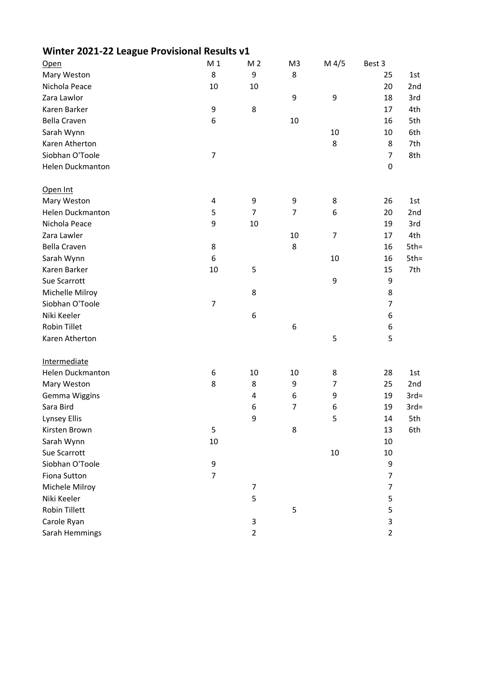| Open                | M <sub>1</sub>   | M <sub>2</sub> | M <sub>3</sub> | $M$ 4/5          | Best 3         |         |
|---------------------|------------------|----------------|----------------|------------------|----------------|---------|
| Mary Weston         | 8                | 9              | 8              |                  | 25             | 1st     |
| Nichola Peace       | 10               | 10             |                |                  | 20             | 2nd     |
| Zara Lawlor         |                  |                | 9              | $\boldsymbol{9}$ | 18             | 3rd     |
| Karen Barker        | 9                | $\bf 8$        |                |                  | 17             | 4th     |
| <b>Bella Craven</b> | 6                |                | 10             |                  | 16             | 5th     |
| Sarah Wynn          |                  |                |                | 10               | 10             | 6th     |
| Karen Atherton      |                  |                |                | 8                | 8              | 7th     |
| Siobhan O'Toole     | $\overline{7}$   |                |                |                  | $\overline{7}$ | 8th     |
| Helen Duckmanton    |                  |                |                |                  | $\pmb{0}$      |         |
| Open Int            |                  |                |                |                  |                |         |
| Mary Weston         | $\overline{4}$   | 9              | 9              | 8                | 26             | 1st     |
| Helen Duckmanton    | 5                | $\overline{7}$ | $\overline{7}$ | 6                | 20             | 2nd     |
| Nichola Peace       | 9                | 10             |                |                  | 19             | 3rd     |
| Zara Lawler         |                  |                | 10             | $\overline{7}$   | 17             | 4th     |
| <b>Bella Craven</b> | 8                |                | 8              |                  | 16             | $5th =$ |
| Sarah Wynn          | 6                |                |                | 10               | 16             | $5th =$ |
| Karen Barker        | 10               | 5              |                |                  | 15             | 7th     |
| Sue Scarrott        |                  |                |                | $\boldsymbol{9}$ | 9              |         |
| Michelle Milroy     |                  | 8              |                |                  | 8              |         |
| Siobhan O'Toole     | $\boldsymbol{7}$ |                |                |                  | $\overline{7}$ |         |
| Niki Keeler         |                  | 6              |                |                  | 6              |         |
| Robin Tillet        |                  |                | 6              |                  | 6              |         |
| Karen Atherton      |                  |                |                | 5                | 5              |         |
| Intermediate        |                  |                |                |                  |                |         |
| Helen Duckmanton    | 6                | 10             | 10             | 8                | 28             | 1st     |
| Mary Weston         | 8                | 8              | 9              | 7                | 25             | 2nd     |
| Gemma Wiggins       |                  | 4              | 6              | 9                | 19             | $3rd=$  |
| Sara Bird           |                  | 6              | $\overline{7}$ | 6                | 19             | $3rd=$  |
| Lynsey Ellis        |                  | 9              |                | 5                | $14\,$         | 5th     |
| Kirsten Brown       | 5                |                | 8              |                  | 13             | 6th     |
| Sarah Wynn          | 10               |                |                |                  | 10             |         |
| Sue Scarrott        |                  |                |                | 10               | 10             |         |
| Siobhan O'Toole     | 9                |                |                |                  | 9              |         |
| Fiona Sutton        | $\overline{7}$   |                |                |                  | $\overline{7}$ |         |
| Michele Milroy      |                  | 7              |                |                  | 7              |         |
| Niki Keeler         |                  | 5              |                |                  | 5              |         |
| Robin Tillett       |                  |                | 5              |                  | 5              |         |
| Carole Ryan         |                  | 3              |                |                  | 3              |         |
| Sarah Hemmings      |                  | $\overline{2}$ |                |                  | $\overline{2}$ |         |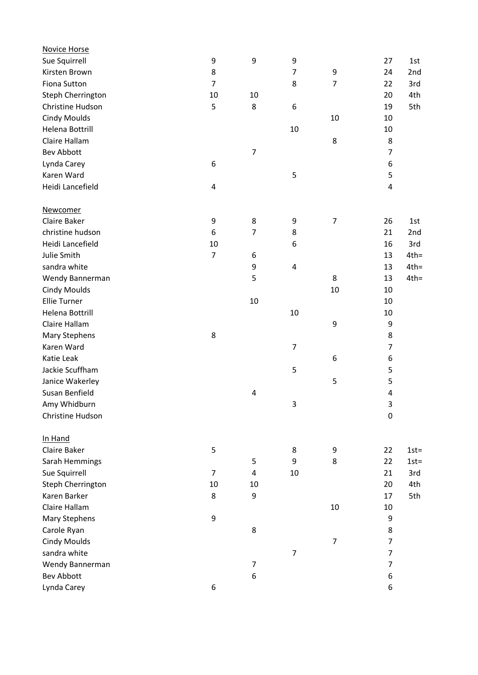| <b>Novice Horse</b> |                |                  |                |                  |                |         |
|---------------------|----------------|------------------|----------------|------------------|----------------|---------|
| Sue Squirrell       | 9              | $\boldsymbol{9}$ | 9              |                  | 27             | 1st     |
| Kirsten Brown       | 8              |                  | $\overline{7}$ | $\boldsymbol{9}$ | 24             | 2nd     |
| Fiona Sutton        | $\overline{7}$ |                  | 8              | $\overline{7}$   | 22             | 3rd     |
| Steph Cherrington   | 10             | 10               |                |                  | 20             | 4th     |
| Christine Hudson    | 5              | 8                | 6              |                  | 19             | 5th     |
| <b>Cindy Moulds</b> |                |                  |                | 10               | 10             |         |
| Helena Bottrill     |                |                  | 10             |                  | 10             |         |
| Claire Hallam       |                |                  |                | 8                | 8              |         |
| <b>Bev Abbott</b>   |                | $\overline{7}$   |                |                  | 7              |         |
| Lynda Carey         | 6              |                  |                |                  | 6              |         |
| Karen Ward          |                |                  | 5              |                  | 5              |         |
| Heidi Lancefield    | 4              |                  |                |                  | $\pmb{4}$      |         |
| <b>Newcomer</b>     |                |                  |                |                  |                |         |
| Claire Baker        | 9              | 8                | 9              | $\overline{7}$   | 26             | 1st     |
| christine hudson    | 6              | 7                | 8              |                  | 21             | 2nd     |
| Heidi Lancefield    | 10             |                  | 6              |                  | 16             | 3rd     |
| Julie Smith         | $\overline{7}$ | 6                |                |                  | 13             | $4th =$ |
| sandra white        |                | 9                | 4              |                  | 13             | $4th =$ |
| Wendy Bannerman     |                | 5                |                | 8                | 13             | $4th =$ |
| <b>Cindy Moulds</b> |                |                  |                | 10               | 10             |         |
| <b>Ellie Turner</b> |                | 10               |                |                  | 10             |         |
| Helena Bottrill     |                |                  | $10\,$         |                  | 10             |         |
| Claire Hallam       |                |                  |                | 9                | 9              |         |
|                     | 8              |                  |                |                  | 8              |         |
| Mary Stephens       |                |                  |                |                  |                |         |
| Karen Ward          |                |                  | $\overline{7}$ |                  | 7              |         |
| Katie Leak          |                |                  |                | 6                | 6              |         |
| Jackie Scuffham     |                |                  | 5              |                  | 5              |         |
| Janice Wakerley     |                |                  |                | 5                | 5              |         |
| Susan Benfield      |                | 4                |                |                  | 4              |         |
| Amy Whidburn        |                |                  | 3              |                  | $\mathsf 3$    |         |
| Christine Hudson    |                |                  |                |                  | $\pmb{0}$      |         |
| In Hand             |                |                  |                |                  |                |         |
| Claire Baker        | 5              |                  | 8              | 9                | 22             | $1st =$ |
| Sarah Hemmings      |                | 5                | 9              | 8                | 22             | $1st =$ |
| Sue Squirrell       | 7              | 4                | 10             |                  | 21             | 3rd     |
| Steph Cherrington   | 10             | 10               |                |                  | 20             | 4th     |
| Karen Barker        | 8              | 9                |                |                  | 17             | 5th     |
| Claire Hallam       |                |                  |                | 10               | 10             |         |
| Mary Stephens       | 9              |                  |                |                  | 9              |         |
| Carole Ryan         |                | 8                |                |                  | 8              |         |
| <b>Cindy Moulds</b> |                |                  |                | $\overline{7}$   | 7              |         |
| sandra white        |                |                  | $\overline{7}$ |                  | $\overline{7}$ |         |
| Wendy Bannerman     |                | $\overline{7}$   |                |                  | $\overline{7}$ |         |
| <b>Bev Abbott</b>   |                | 6                |                |                  | 6              |         |
| Lynda Carey         | 6              |                  |                |                  | 6              |         |
|                     |                |                  |                |                  |                |         |